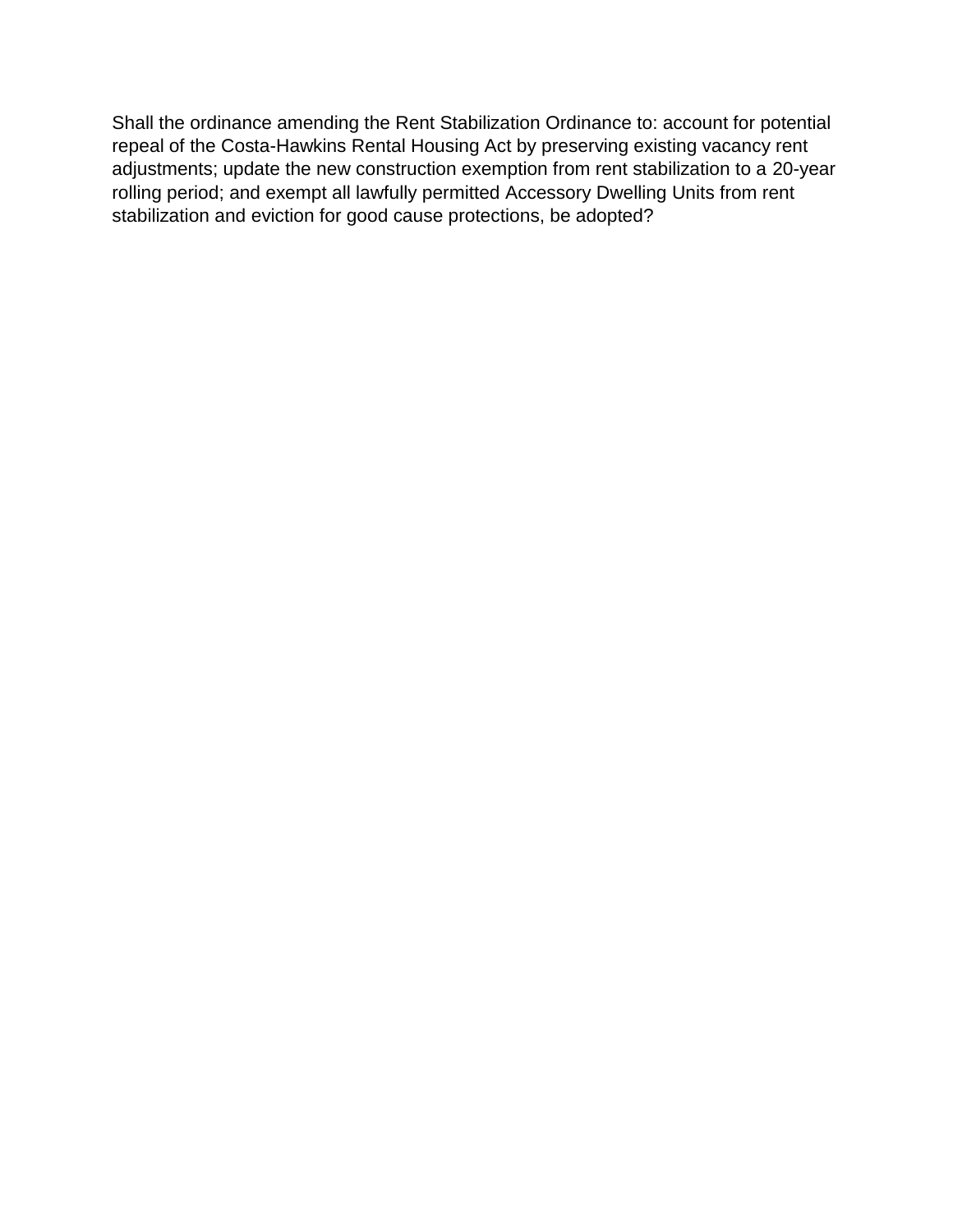Shall the ordinance amending the Rent Stabilization Ordinance to: account for potential repeal of the Costa-Hawkins Rental Housing Act by preserving existing vacancy rent adjustments; update the new construction exemption from rent stabilization to a 20-year rolling period; and exempt all lawfully permitted Accessory Dwelling Units from rent stabilization and eviction for good cause protections, be adopted?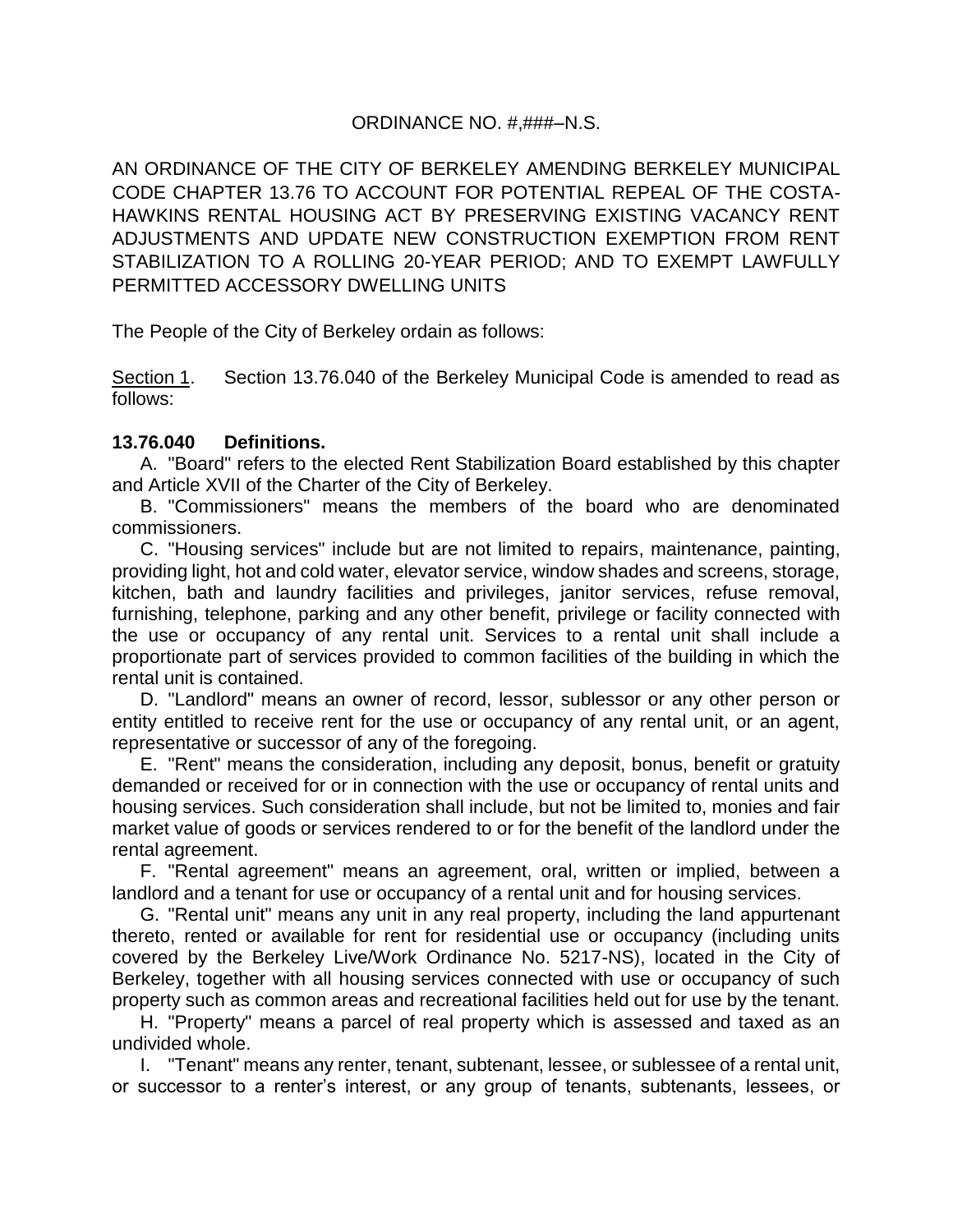# ORDINANCE NO. #,###–N.S.

AN ORDINANCE OF THE CITY OF BERKELEY AMENDING BERKELEY MUNICIPAL CODE CHAPTER 13.76 TO ACCOUNT FOR POTENTIAL REPEAL OF THE COSTA-HAWKINS RENTAL HOUSING ACT BY PRESERVING EXISTING VACANCY RENT ADJUSTMENTS AND UPDATE NEW CONSTRUCTION EXEMPTION FROM RENT STABILIZATION TO A ROLLING 20-YEAR PERIOD; AND TO EXEMPT LAWFULLY PERMITTED ACCESSORY DWELLING UNITS

The People of the City of Berkeley ordain as follows:

Section 1. Section 13.76.040 of the Berkeley Municipal Code is amended to read as follows:

# **13.76.040 Definitions.**

A. "Board" refers to the elected Rent Stabilization Board established by this chapter and Article XVII of the Charter of the City of Berkeley.

B. "Commissioners" means the members of the board who are denominated commissioners.

C. "Housing services" include but are not limited to repairs, maintenance, painting, providing light, hot and cold water, elevator service, window shades and screens, storage, kitchen, bath and laundry facilities and privileges, janitor services, refuse removal, furnishing, telephone, parking and any other benefit, privilege or facility connected with the use or occupancy of any rental unit. Services to a rental unit shall include a proportionate part of services provided to common facilities of the building in which the rental unit is contained.

D. "Landlord" means an owner of record, lessor, sublessor or any other person or entity entitled to receive rent for the use or occupancy of any rental unit, or an agent, representative or successor of any of the foregoing.

E. "Rent" means the consideration, including any deposit, bonus, benefit or gratuity demanded or received for or in connection with the use or occupancy of rental units and housing services. Such consideration shall include, but not be limited to, monies and fair market value of goods or services rendered to or for the benefit of the landlord under the rental agreement.

F. "Rental agreement" means an agreement, oral, written or implied, between a landlord and a tenant for use or occupancy of a rental unit and for housing services.

G. "Rental unit" means any unit in any real property, including the land appurtenant thereto, rented or available for rent for residential use or occupancy (including units covered by the Berkeley Live/Work Ordinance No. 5217-NS), located in the City of Berkeley, together with all housing services connected with use or occupancy of such property such as common areas and recreational facilities held out for use by the tenant.

H. "Property" means a parcel of real property which is assessed and taxed as an undivided whole.

I. "Tenant" means any renter, tenant, subtenant, lessee, or sublessee of a rental unit, or successor to a renter's interest, or any group of tenants, subtenants, lessees, or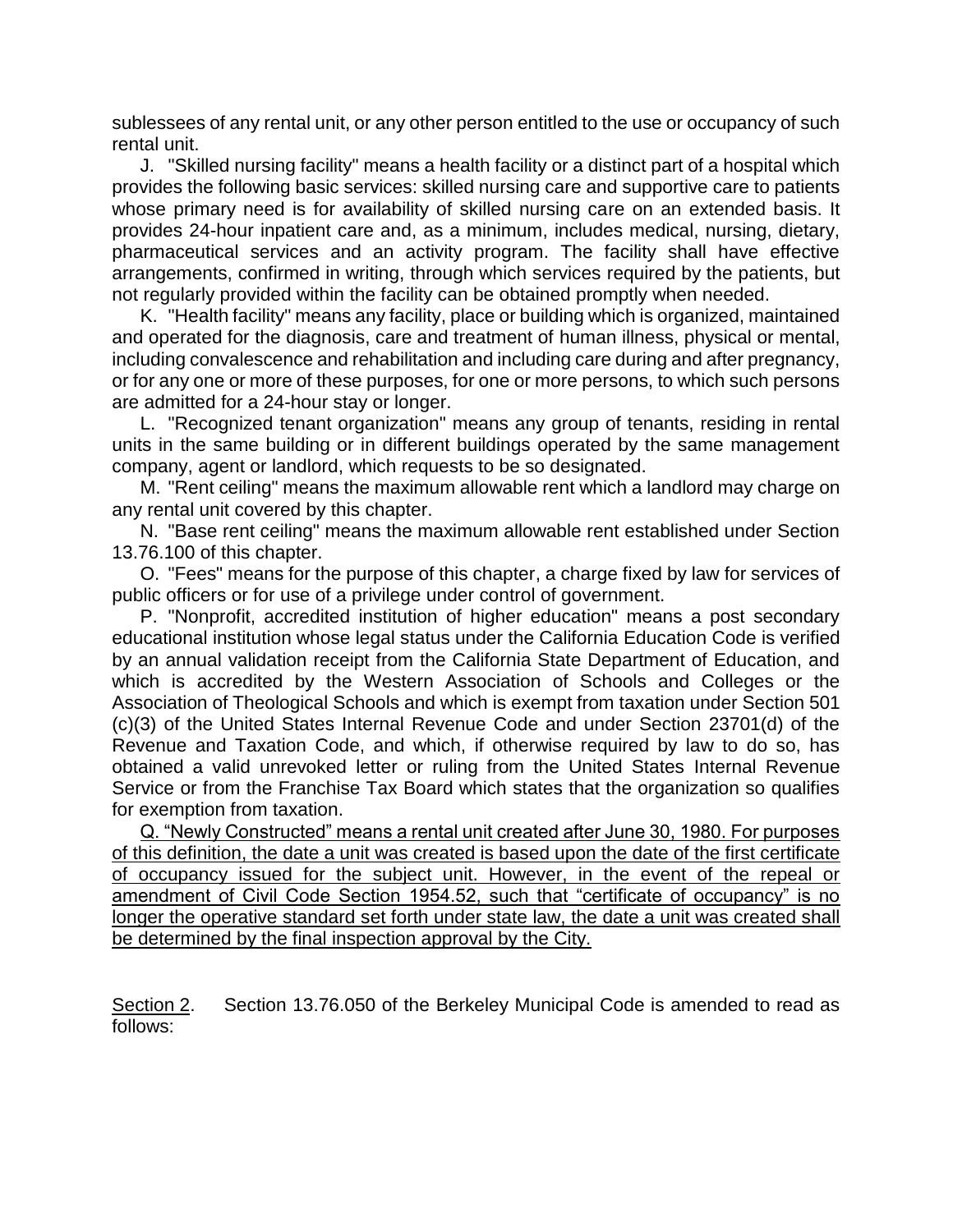sublessees of any rental unit, or any other person entitled to the use or occupancy of such rental unit.

J. "Skilled nursing facility" means a health facility or a distinct part of a hospital which provides the following basic services: skilled nursing care and supportive care to patients whose primary need is for availability of skilled nursing care on an extended basis. It provides 24-hour inpatient care and, as a minimum, includes medical, nursing, dietary, pharmaceutical services and an activity program. The facility shall have effective arrangements, confirmed in writing, through which services required by the patients, but not regularly provided within the facility can be obtained promptly when needed.

K. "Health facility" means any facility, place or building which is organized, maintained and operated for the diagnosis, care and treatment of human illness, physical or mental, including convalescence and rehabilitation and including care during and after pregnancy, or for any one or more of these purposes, for one or more persons, to which such persons are admitted for a 24-hour stay or longer.

L. "Recognized tenant organization" means any group of tenants, residing in rental units in the same building or in different buildings operated by the same management company, agent or landlord, which requests to be so designated.

M. "Rent ceiling" means the maximum allowable rent which a landlord may charge on any rental unit covered by this chapter.

N. "Base rent ceiling" means the maximum allowable rent established under Section 13.76.100 of this chapter.

O. "Fees" means for the purpose of this chapter, a charge fixed by law for services of public officers or for use of a privilege under control of government.

P. "Nonprofit, accredited institution of higher education" means a post secondary educational institution whose legal status under the California Education Code is verified by an annual validation receipt from the California State Department of Education, and which is accredited by the Western Association of Schools and Colleges or the Association of Theological Schools and which is exempt from taxation under Section 501 (c)(3) of the United States Internal Revenue Code and under Section 23701(d) of the Revenue and Taxation Code, and which, if otherwise required by law to do so, has obtained a valid unrevoked letter or ruling from the United States Internal Revenue Service or from the Franchise Tax Board which states that the organization so qualifies for exemption from taxation.

Q. "Newly Constructed" means a rental unit created after June 30, 1980. For purposes of this definition, the date a unit was created is based upon the date of the first certificate of occupancy issued for the subject unit. However, in the event of the repeal or amendment of Civil Code Section 1954.52, such that "certificate of occupancy" is no longer the operative standard set forth under state law, the date a unit was created shall be determined by the final inspection approval by the City.

Section 2. Section 13.76.050 of the Berkeley Municipal Code is amended to read as follows: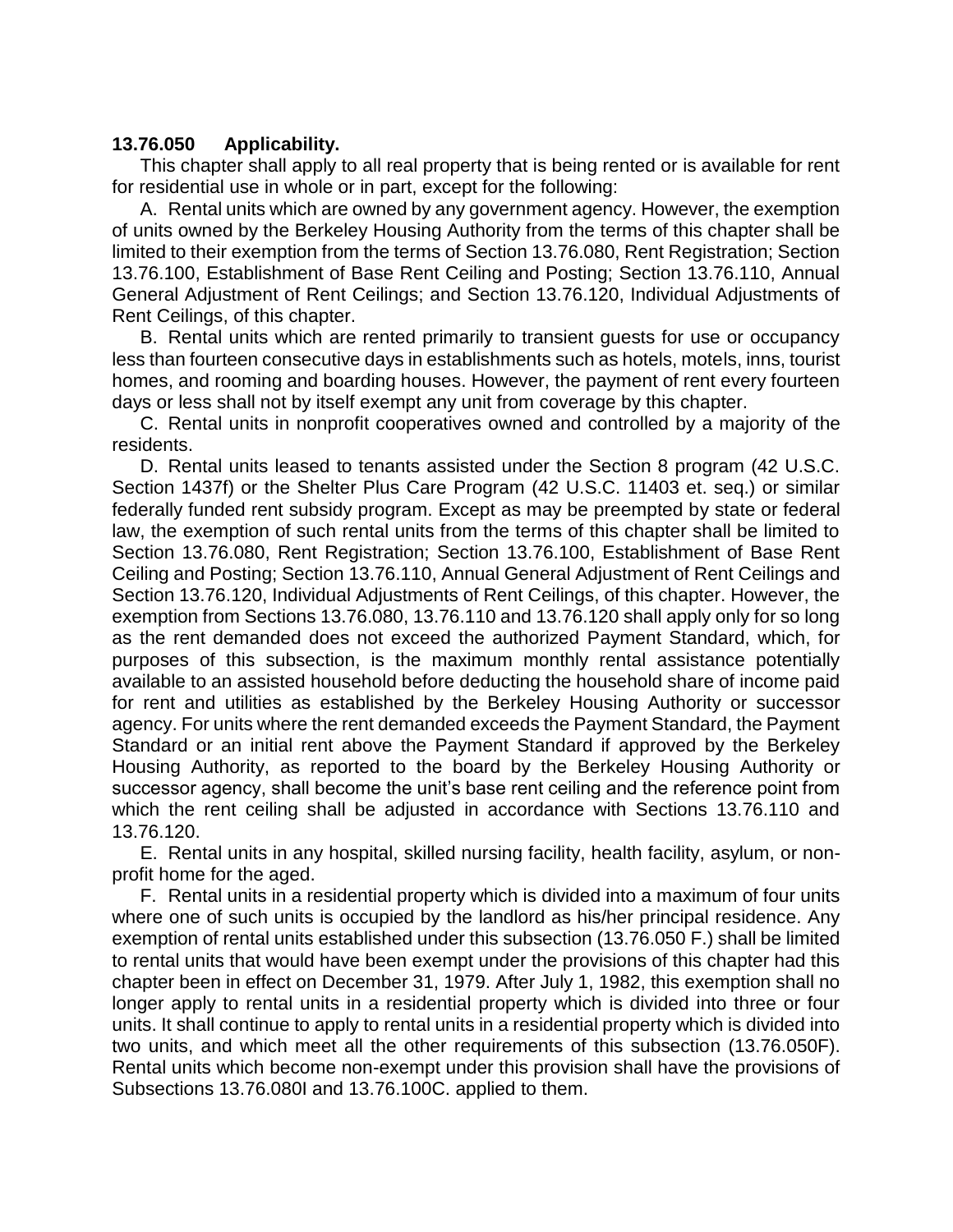# **13.76.050 Applicability.**

This chapter shall apply to all real property that is being rented or is available for rent for residential use in whole or in part, except for the following:

A. Rental units which are owned by any government agency. However, the exemption of units owned by the Berkeley Housing Authority from the terms of this chapter shall be limited to their exemption from the terms of Section 13.76.080, Rent Registration; Section 13.76.100, Establishment of Base Rent Ceiling and Posting; Section 13.76.110, Annual General Adjustment of Rent Ceilings; and Section 13.76.120, Individual Adjustments of Rent Ceilings, of this chapter.

B. Rental units which are rented primarily to transient guests for use or occupancy less than fourteen consecutive days in establishments such as hotels, motels, inns, tourist homes, and rooming and boarding houses. However, the payment of rent every fourteen days or less shall not by itself exempt any unit from coverage by this chapter.

C. Rental units in nonprofit cooperatives owned and controlled by a majority of the residents.

D. Rental units leased to tenants assisted under the Section 8 program (42 U.S.C. Section 1437f) or the Shelter Plus Care Program (42 U.S.C. 11403 et. seq.) or similar federally funded rent subsidy program. Except as may be preempted by state or federal law, the exemption of such rental units from the terms of this chapter shall be limited to Section 13.76.080, Rent Registration; Section 13.76.100, Establishment of Base Rent Ceiling and Posting; Section 13.76.110, Annual General Adjustment of Rent Ceilings and Section 13.76.120, Individual Adjustments of Rent Ceilings, of this chapter. However, the exemption from Sections 13.76.080, 13.76.110 and 13.76.120 shall apply only for so long as the rent demanded does not exceed the authorized Payment Standard, which, for purposes of this subsection, is the maximum monthly rental assistance potentially available to an assisted household before deducting the household share of income paid for rent and utilities as established by the Berkeley Housing Authority or successor agency. For units where the rent demanded exceeds the Payment Standard, the Payment Standard or an initial rent above the Payment Standard if approved by the Berkeley Housing Authority, as reported to the board by the Berkeley Housing Authority or successor agency, shall become the unit's base rent ceiling and the reference point from which the rent ceiling shall be adjusted in accordance with Sections 13.76.110 and 13.76.120.

E. Rental units in any hospital, skilled nursing facility, health facility, asylum, or nonprofit home for the aged.

F. Rental units in a residential property which is divided into a maximum of four units where one of such units is occupied by the landlord as his/her principal residence. Any exemption of rental units established under this subsection (13.76.050 F.) shall be limited to rental units that would have been exempt under the provisions of this chapter had this chapter been in effect on December 31, 1979. After July 1, 1982, this exemption shall no longer apply to rental units in a residential property which is divided into three or four units. It shall continue to apply to rental units in a residential property which is divided into two units, and which meet all the other requirements of this subsection (13.76.050F). Rental units which become non-exempt under this provision shall have the provisions of Subsections 13.76.080I and 13.76.100C. applied to them.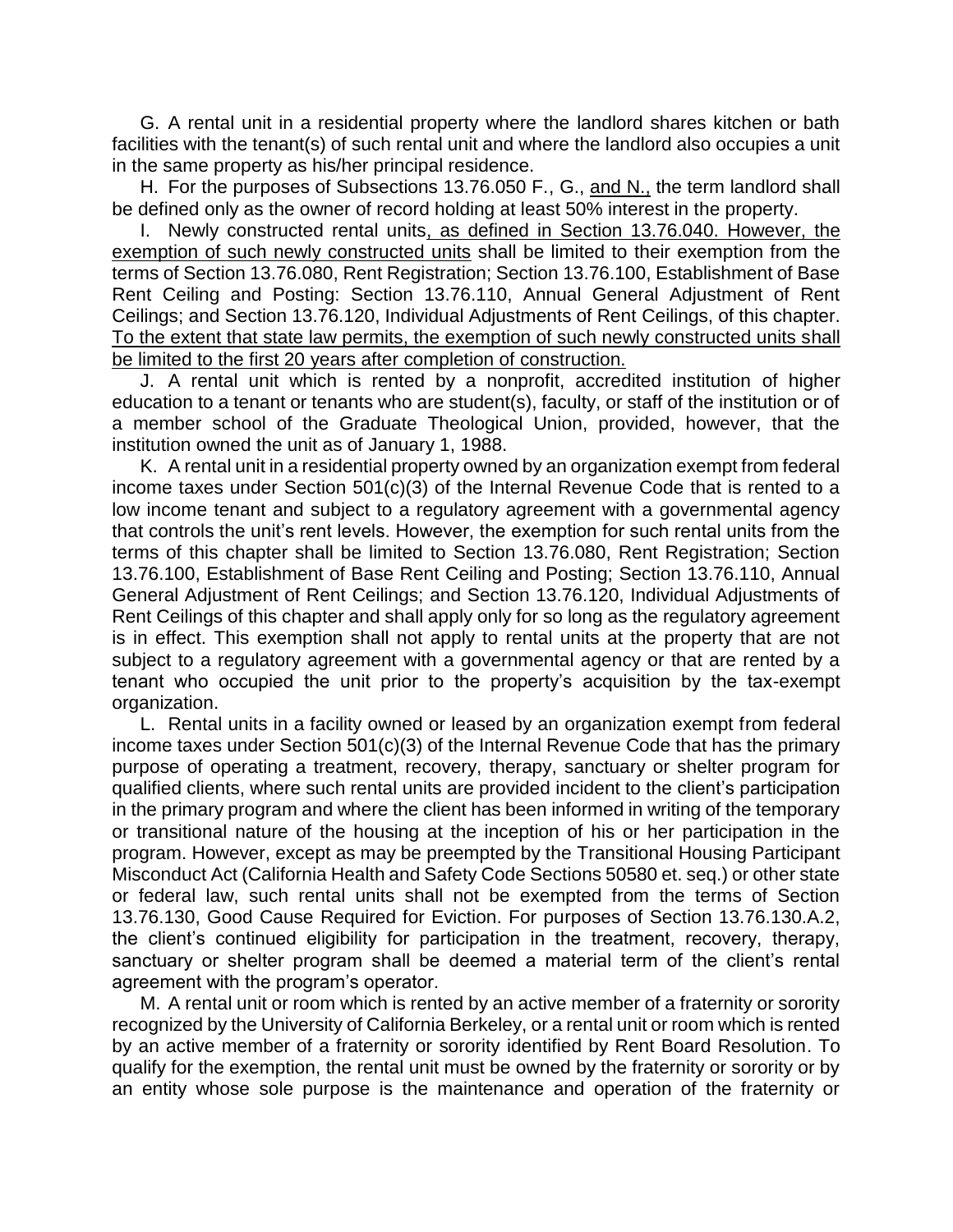G. A rental unit in a residential property where the landlord shares kitchen or bath facilities with the tenant(s) of such rental unit and where the landlord also occupies a unit in the same property as his/her principal residence.

H. For the purposes of Subsections 13.76.050 F., G., and N., the term landlord shall be defined only as the owner of record holding at least 50% interest in the property.

I. Newly constructed rental units, as defined in Section 13.76.040. However, the exemption of such newly constructed units shall be limited to their exemption from the terms of Section 13.76.080, Rent Registration; Section 13.76.100, Establishment of Base Rent Ceiling and Posting: Section 13.76.110, Annual General Adjustment of Rent Ceilings; and Section 13.76.120, Individual Adjustments of Rent Ceilings, of this chapter. To the extent that state law permits, the exemption of such newly constructed units shall be limited to the first 20 years after completion of construction.

J. A rental unit which is rented by a nonprofit, accredited institution of higher education to a tenant or tenants who are student(s), faculty, or staff of the institution or of a member school of the Graduate Theological Union, provided, however, that the institution owned the unit as of January 1, 1988.

K. A rental unit in a residential property owned by an organization exempt from federal income taxes under Section 501(c)(3) of the Internal Revenue Code that is rented to a low income tenant and subject to a regulatory agreement with a governmental agency that controls the unit's rent levels. However, the exemption for such rental units from the terms of this chapter shall be limited to Section 13.76.080, Rent Registration; Section 13.76.100, Establishment of Base Rent Ceiling and Posting; Section 13.76.110, Annual General Adjustment of Rent Ceilings; and Section 13.76.120, Individual Adjustments of Rent Ceilings of this chapter and shall apply only for so long as the regulatory agreement is in effect. This exemption shall not apply to rental units at the property that are not subject to a regulatory agreement with a governmental agency or that are rented by a tenant who occupied the unit prior to the property's acquisition by the tax-exempt organization.

L. Rental units in a facility owned or leased by an organization exempt from federal income taxes under Section 501(c)(3) of the Internal Revenue Code that has the primary purpose of operating a treatment, recovery, therapy, sanctuary or shelter program for qualified clients, where such rental units are provided incident to the client's participation in the primary program and where the client has been informed in writing of the temporary or transitional nature of the housing at the inception of his or her participation in the program. However, except as may be preempted by the Transitional Housing Participant Misconduct Act (California Health and Safety Code Sections 50580 et. seq.) or other state or federal law, such rental units shall not be exempted from the terms of Section 13.76.130, Good Cause Required for Eviction. For purposes of Section 13.76.130.A.2, the client's continued eligibility for participation in the treatment, recovery, therapy, sanctuary or shelter program shall be deemed a material term of the client's rental agreement with the program's operator.

M. A rental unit or room which is rented by an active member of a fraternity or sorority recognized by the University of California Berkeley, or a rental unit or room which is rented by an active member of a fraternity or sorority identified by Rent Board Resolution. To qualify for the exemption, the rental unit must be owned by the fraternity or sorority or by an entity whose sole purpose is the maintenance and operation of the fraternity or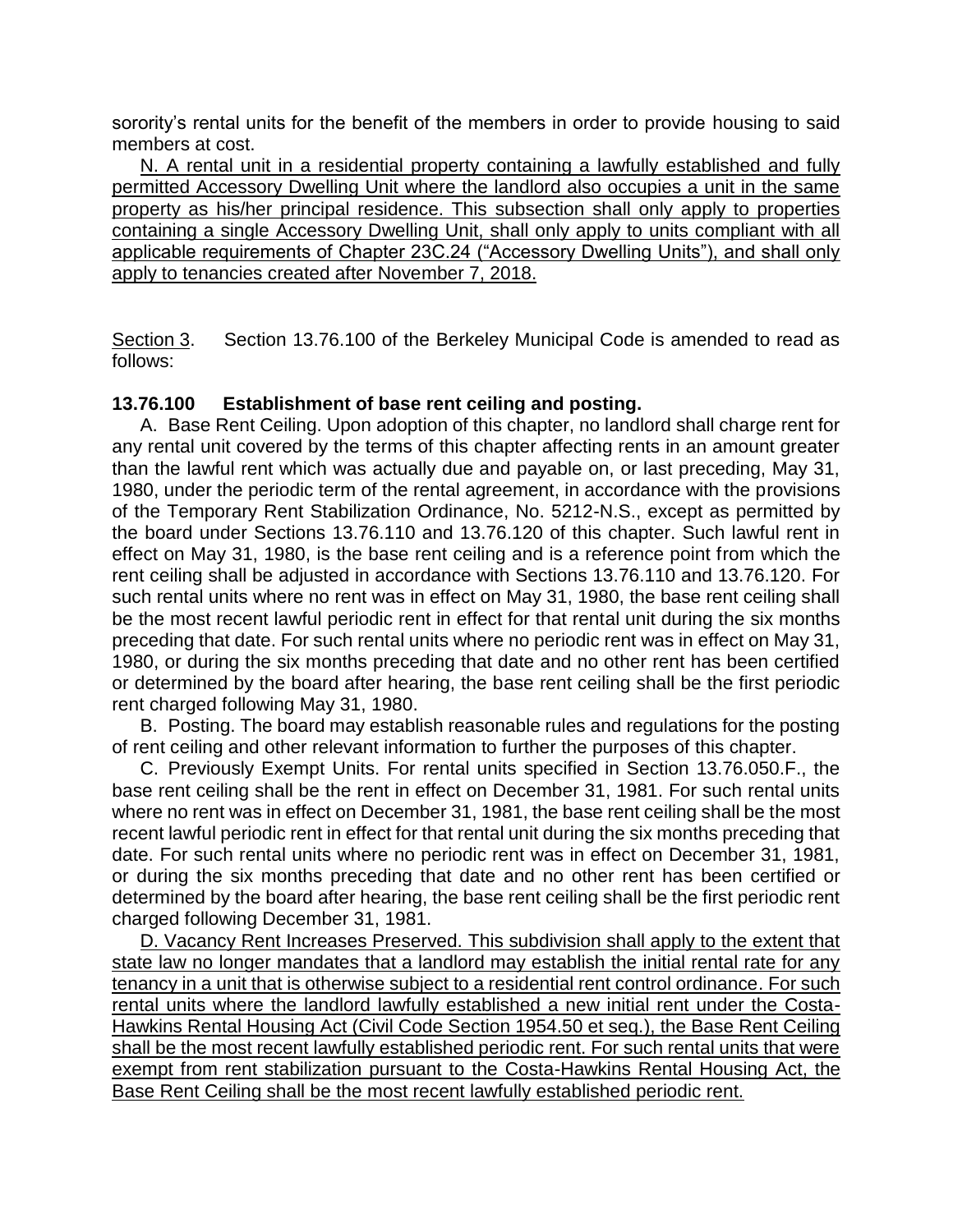sorority's rental units for the benefit of the members in order to provide housing to said members at cost.

N. A rental unit in a residential property containing a lawfully established and fully permitted Accessory Dwelling Unit where the landlord also occupies a unit in the same property as his/her principal residence. This subsection shall only apply to properties containing a single Accessory Dwelling Unit, shall only apply to units compliant with all applicable requirements of Chapter 23C.24 ("Accessory Dwelling Units"), and shall only apply to tenancies created after November 7, 2018.

Section 3. Section 13.76.100 of the Berkeley Municipal Code is amended to read as follows:

# **13.76.100 Establishment of base rent ceiling and posting.**

A. Base Rent Ceiling. Upon adoption of this chapter, no landlord shall charge rent for any rental unit covered by the terms of this chapter affecting rents in an amount greater than the lawful rent which was actually due and payable on, or last preceding, May 31, 1980, under the periodic term of the rental agreement, in accordance with the provisions of the Temporary Rent Stabilization Ordinance, No. 5212-N.S., except as permitted by the board under Sections 13.76.110 and 13.76.120 of this chapter. Such lawful rent in effect on May 31, 1980, is the base rent ceiling and is a reference point from which the rent ceiling shall be adjusted in accordance with Sections 13.76.110 and 13.76.120. For such rental units where no rent was in effect on May 31, 1980, the base rent ceiling shall be the most recent lawful periodic rent in effect for that rental unit during the six months preceding that date. For such rental units where no periodic rent was in effect on May 31, 1980, or during the six months preceding that date and no other rent has been certified or determined by the board after hearing, the base rent ceiling shall be the first periodic rent charged following May 31, 1980.

B. Posting. The board may establish reasonable rules and regulations for the posting of rent ceiling and other relevant information to further the purposes of this chapter.

C. Previously Exempt Units. For rental units specified in Section 13.76.050.F., the base rent ceiling shall be the rent in effect on December 31, 1981. For such rental units where no rent was in effect on December 31, 1981, the base rent ceiling shall be the most recent lawful periodic rent in effect for that rental unit during the six months preceding that date. For such rental units where no periodic rent was in effect on December 31, 1981, or during the six months preceding that date and no other rent has been certified or determined by the board after hearing, the base rent ceiling shall be the first periodic rent charged following December 31, 1981.

D. Vacancy Rent Increases Preserved. This subdivision shall apply to the extent that state law no longer mandates that a landlord may establish the initial rental rate for any tenancy in a unit that is otherwise subject to a residential rent control ordinance. For such rental units where the landlord lawfully established a new initial rent under the Costa-Hawkins Rental Housing Act (Civil Code Section 1954.50 et seq.), the Base Rent Ceiling shall be the most recent lawfully established periodic rent. For such rental units that were exempt from rent stabilization pursuant to the Costa-Hawkins Rental Housing Act, the Base Rent Ceiling shall be the most recent lawfully established periodic rent.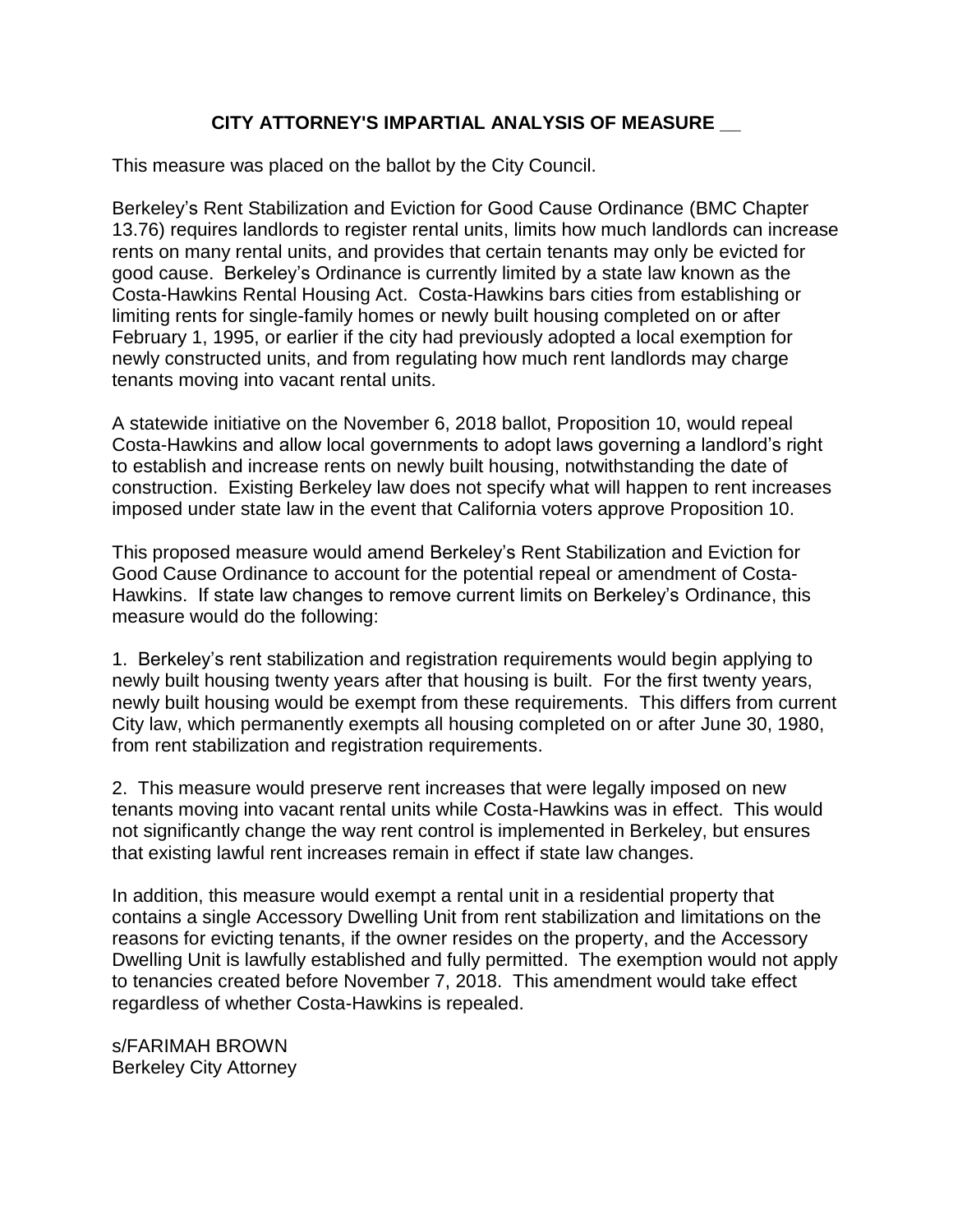# **CITY ATTORNEY'S IMPARTIAL ANALYSIS OF MEASURE \_\_**

This measure was placed on the ballot by the City Council.

Berkeley's Rent Stabilization and Eviction for Good Cause Ordinance (BMC Chapter 13.76) requires landlords to register rental units, limits how much landlords can increase rents on many rental units, and provides that certain tenants may only be evicted for good cause. Berkeley's Ordinance is currently limited by a state law known as the Costa-Hawkins Rental Housing Act. Costa-Hawkins bars cities from establishing or limiting rents for single-family homes or newly built housing completed on or after February 1, 1995, or earlier if the city had previously adopted a local exemption for newly constructed units, and from regulating how much rent landlords may charge tenants moving into vacant rental units.

A statewide initiative on the November 6, 2018 ballot, Proposition 10, would repeal Costa-Hawkins and allow local governments to adopt laws governing a landlord's right to establish and increase rents on newly built housing, notwithstanding the date of construction. Existing Berkeley law does not specify what will happen to rent increases imposed under state law in the event that California voters approve Proposition 10.

This proposed measure would amend Berkeley's Rent Stabilization and Eviction for Good Cause Ordinance to account for the potential repeal or amendment of Costa-Hawkins. If state law changes to remove current limits on Berkeley's Ordinance, this measure would do the following:

1. Berkeley's rent stabilization and registration requirements would begin applying to newly built housing twenty years after that housing is built. For the first twenty years, newly built housing would be exempt from these requirements. This differs from current City law, which permanently exempts all housing completed on or after June 30, 1980, from rent stabilization and registration requirements.

2. This measure would preserve rent increases that were legally imposed on new tenants moving into vacant rental units while Costa-Hawkins was in effect. This would not significantly change the way rent control is implemented in Berkeley, but ensures that existing lawful rent increases remain in effect if state law changes.

In addition, this measure would exempt a rental unit in a residential property that contains a single Accessory Dwelling Unit from rent stabilization and limitations on the reasons for evicting tenants, if the owner resides on the property, and the Accessory Dwelling Unit is lawfully established and fully permitted. The exemption would not apply to tenancies created before November 7, 2018. This amendment would take effect regardless of whether Costa-Hawkins is repealed.

s/FARIMAH BROWN Berkeley City Attorney